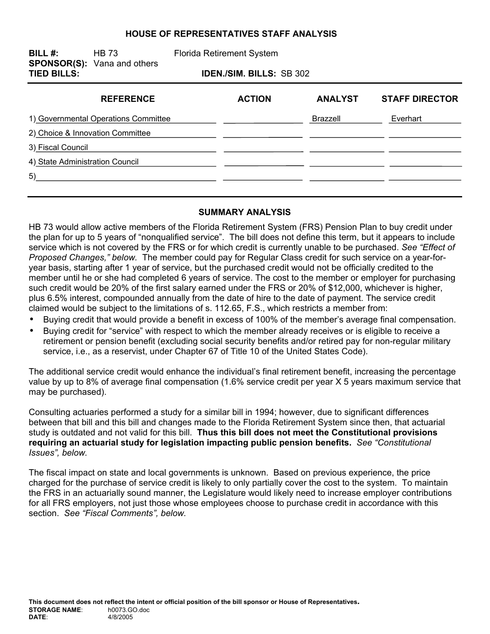#### **HOUSE OF REPRESENTATIVES STAFF ANALYSIS**

**BILL #:** HB 73 Florida Retirement System **SPONSOR(S):** Vana and others **TIED BILLS: IDEN./SIM. BILLS:** SB 302

| <b>REFERENCE</b>                     | <b>ACTION</b> | <b>ANALYST</b> | <b>STAFF DIRECTOR</b> |
|--------------------------------------|---------------|----------------|-----------------------|
| 1) Governmental Operations Committee |               | Brazzell       | Everhart              |
| 2) Choice & Innovation Committee     |               |                |                       |
| 3) Fiscal Council                    |               |                |                       |
| 4) State Administration Council      |               |                |                       |
| 5)                                   |               |                |                       |
|                                      |               |                |                       |

### **SUMMARY ANALYSIS**

HB 73 would allow active members of the Florida Retirement System (FRS) Pension Plan to buy credit under the plan for up to 5 years of "nonqualified service". The bill does not define this term, but it appears to include service which is not covered by the FRS or for which credit is currently unable to be purchased. *See "Effect of Proposed Changes," below.* The member could pay for Regular Class credit for such service on a year-foryear basis, starting after 1 year of service, but the purchased credit would not be officially credited to the member until he or she had completed 6 years of service. The cost to the member or employer for purchasing such credit would be 20% of the first salary earned under the FRS or 20% of \$12,000, whichever is higher, plus 6.5% interest, compounded annually from the date of hire to the date of payment. The service credit claimed would be subject to the limitations of s. 112.65, F.S., which restricts a member from:

- Buying credit that would provide a benefit in excess of 100% of the member's average final compensation.
- Buying credit for "service" with respect to which the member already receives or is eligible to receive a retirement or pension benefit (excluding social security benefits and/or retired pay for non-regular military service, i.e., as a reservist, under Chapter 67 of Title 10 of the United States Code).

The additional service credit would enhance the individual's final retirement benefit, increasing the percentage value by up to 8% of average final compensation (1.6% service credit per year X 5 years maximum service that may be purchased).

Consulting actuaries performed a study for a similar bill in 1994; however, due to significant differences between that bill and this bill and changes made to the Florida Retirement System since then, that actuarial study is outdated and not valid for this bill. **Thus this bill does not meet the Constitutional provisions requiring an actuarial study for legislation impacting public pension benefits.** *See "Constitutional Issues", below.*

The fiscal impact on state and local governments is unknown. Based on previous experience, the price charged for the purchase of service credit is likely to only partially cover the cost to the system. To maintain the FRS in an actuarially sound manner, the Legislature would likely need to increase employer contributions for all FRS employers, not just those whose employees choose to purchase credit in accordance with this section. *See "Fiscal Comments", below.*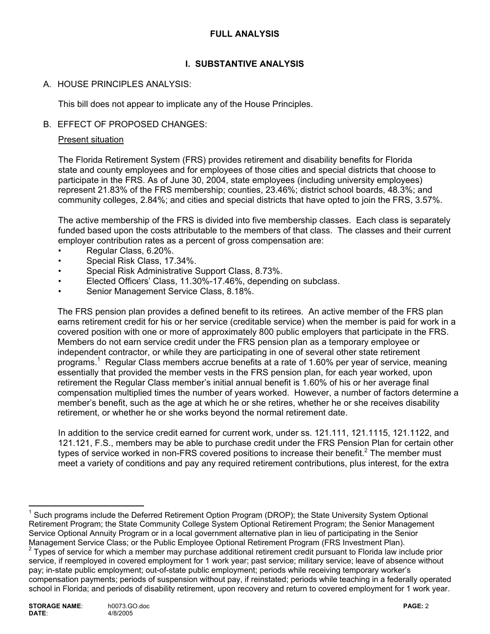### **FULL ANALYSIS**

## **I. SUBSTANTIVE ANALYSIS**

### A. HOUSE PRINCIPLES ANALYSIS:

This bill does not appear to implicate any of the House Principles.

### B. EFFECT OF PROPOSED CHANGES:

### Present situation

The Florida Retirement System (FRS) provides retirement and disability benefits for Florida state and county employees and for employees of those cities and special districts that choose to participate in the FRS. As of June 30, 2004, state employees (including university employees) represent 21.83% of the FRS membership; counties, 23.46%; district school boards, 48.3%; and community colleges, 2.84%; and cities and special districts that have opted to join the FRS, 3.57%.

The active membership of the FRS is divided into five membership classes. Each class is separately funded based upon the costs attributable to the members of that class. The classes and their current employer contribution rates as a percent of gross compensation are:

- Regular Class, 6.20%.
- Special Risk Class, 17.34%.
- Special Risk Administrative Support Class, 8.73%.
- Elected Officers' Class, 11.30%-17.46%, depending on subclass.
- Senior Management Service Class, 8.18%.

The FRS pension plan provides a defined benefit to its retirees. An active member of the FRS plan earns retirement credit for his or her service (creditable service) when the member is paid for work in a covered position with one or more of approximately 800 public employers that participate in the FRS. Members do not earn service credit under the FRS pension plan as a temporary employee or independent contractor, or while they are participating in one of several other state retirement programs.<sup>1</sup> Regular Class members accrue benefits at a rate of 1.60% per year of service, meaning essentially that provided the member vests in the FRS pension plan, for each year worked, upon retirement the Regular Class member's initial annual benefit is 1.60% of his or her average final compensation multiplied times the number of years worked. However, a number of factors determine a member's benefit, such as the age at which he or she retires, whether he or she receives disability retirement, or whether he or she works beyond the normal retirement date.

In addition to the service credit earned for current work, under ss. 121.111, 121.1115, 121.1122, and 121.121, F.S., members may be able to purchase credit under the FRS Pension Plan for certain other types of service worked in non-FRS covered positions to increase their benefit.<sup>2</sup> The member must meet a variety of conditions and pay any required retirement contributions, plus interest, for the extra

 $\overline{a}$ 

<sup>&</sup>lt;sup>1</sup> Such programs include the Deferred Retirement Option Program (DROP); the State University System Optional Retirement Program; the State Community College System Optional Retirement Program; the Senior Management Service Optional Annuity Program or in a local government alternative plan in lieu of participating in the Senior Management Service Class; or the Public Employee Optional Retirement Program (FRS Investment Plan). 2 Types of service for which a member may purchase additional retirement credit pursuant to Florida law include prior

service, if reemployed in covered employment for 1 work year; past service; military service; leave of absence without pay; in-state public employment; out-of-state public employment; periods while receiving temporary worker's compensation payments; periods of suspension without pay, if reinstated; periods while teaching in a federally operated school in Florida; and periods of disability retirement, upon recovery and return to covered employment for 1 work year.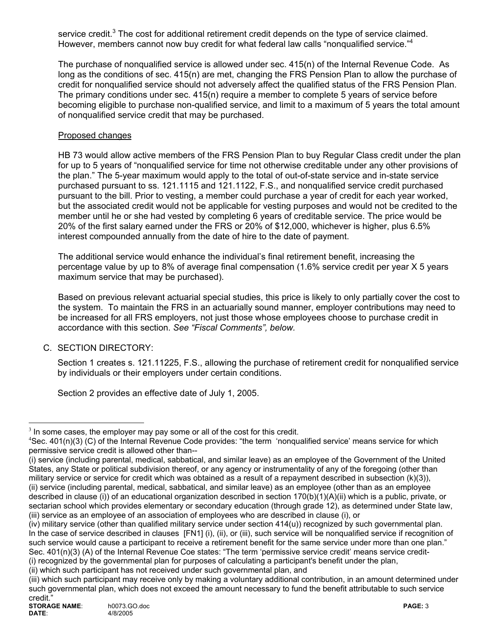service credit.<sup>3</sup> The cost for additional retirement credit depends on the type of service claimed. However, members cannot now buy credit for what federal law calls "nonqualified service."<sup>4</sup>

The purchase of nonqualified service is allowed under sec. 415(n) of the Internal Revenue Code. As long as the conditions of sec. 415(n) are met, changing the FRS Pension Plan to allow the purchase of credit for nonqualified service should not adversely affect the qualified status of the FRS Pension Plan. The primary conditions under sec. 415(n) require a member to complete 5 years of service before becoming eligible to purchase non-qualified service, and limit to a maximum of 5 years the total amount of nonqualified service credit that may be purchased.

## Proposed changes

HB 73 would allow active members of the FRS Pension Plan to buy Regular Class credit under the plan for up to 5 years of "nonqualified service for time not otherwise creditable under any other provisions of the plan." The 5-year maximum would apply to the total of out-of-state service and in-state service purchased pursuant to ss. 121.1115 and 121.1122, F.S., and nonqualified service credit purchased pursuant to the bill. Prior to vesting, a member could purchase a year of credit for each year worked, but the associated credit would not be applicable for vesting purposes and would not be credited to the member until he or she had vested by completing 6 years of creditable service. The price would be 20% of the first salary earned under the FRS or 20% of \$12,000, whichever is higher, plus 6.5% interest compounded annually from the date of hire to the date of payment.

The additional service would enhance the individual's final retirement benefit, increasing the percentage value by up to 8% of average final compensation (1.6% service credit per year X 5 years maximum service that may be purchased).

Based on previous relevant actuarial special studies, this price is likely to only partially cover the cost to the system. To maintain the FRS in an actuarially sound manner, employer contributions may need to be increased for all FRS employers, not just those whose employees choose to purchase credit in accordance with this section. *See "Fiscal Comments", below.* 

# C. SECTION DIRECTORY:

 Section 1 creates s. 121.11225, F.S., allowing the purchase of retirement credit for nonqualified service by individuals or their employers under certain conditions.

Section 2 provides an effective date of July 1, 2005.

 $\overline{a}$ 

 $3$  In some cases, the employer may pay some or all of the cost for this credit.

 $\text{``Sec. 401(n)}(3)$  (C) of the Internal Revenue Code provides: "the term 'nonqualified service' means service for which permissive service credit is allowed other than--

<sup>(</sup>i) service (including parental, medical, sabbatical, and similar leave) as an employee of the Government of the United States, any State or political subdivision thereof, or any agency or instrumentality of any of the foregoing (other than military service or service for credit which was obtained as a result of a repayment described in subsection (k)(3)), (ii) service (including parental, medical, sabbatical, and similar leave) as an employee (other than as an employee described in clause (i)) of an educational organization described in section 170(b)(1)(A)(ii) which is a public, private, or sectarian school which provides elementary or secondary education (through grade 12), as determined under State law, (iii) service as an employee of an association of employees who are described in clause (i), or

<sup>(</sup>iv) military service (other than qualified military service under section 414(u)) recognized by such governmental plan. In the case of service described in clauses [FN1] (i), (ii), or (iii), such service will be nonqualified service if recognition of such service would cause a participant to receive a retirement benefit for the same service under more than one plan." Sec. 401(n)(3) (A) of the Internal Revenue Coe states: "The term 'permissive service credit' means service credit-(i) recognized by the governmental plan for purposes of calculating a participant's benefit under the plan,

<sup>(</sup>ii) which such participant has not received under such governmental plan, and

<sup>(</sup>iii) which such participant may receive only by making a voluntary additional contribution, in an amount determined under such governmental plan, which does not exceed the amount necessary to fund the benefit attributable to such service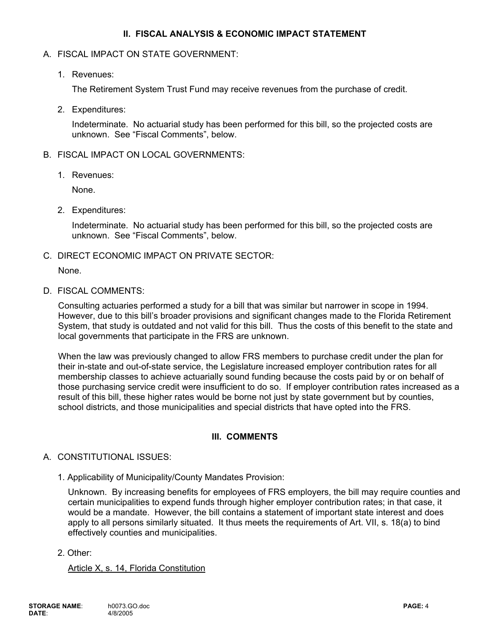### **II. FISCAL ANALYSIS & ECONOMIC IMPACT STATEMENT**

### A. FISCAL IMPACT ON STATE GOVERNMENT:

1. Revenues:

The Retirement System Trust Fund may receive revenues from the purchase of credit.

2. Expenditures:

Indeterminate. No actuarial study has been performed for this bill, so the projected costs are unknown. See "Fiscal Comments", below.

#### B. FISCAL IMPACT ON LOCAL GOVERNMENTS:

1. Revenues:

None.

2. Expenditures:

Indeterminate. No actuarial study has been performed for this bill, so the projected costs are unknown. See "Fiscal Comments", below.

C. DIRECT ECONOMIC IMPACT ON PRIVATE SECTOR:

None.

D. FISCAL COMMENTS:

Consulting actuaries performed a study for a bill that was similar but narrower in scope in 1994. However, due to this bill's broader provisions and significant changes made to the Florida Retirement System, that study is outdated and not valid for this bill. Thus the costs of this benefit to the state and local governments that participate in the FRS are unknown.

When the law was previously changed to allow FRS members to purchase credit under the plan for their in-state and out-of-state service, the Legislature increased employer contribution rates for all membership classes to achieve actuarially sound funding because the costs paid by or on behalf of those purchasing service credit were insufficient to do so. If employer contribution rates increased as a result of this bill, these higher rates would be borne not just by state government but by counties, school districts, and those municipalities and special districts that have opted into the FRS.

### **III. COMMENTS**

#### A. CONSTITUTIONAL ISSUES:

1. Applicability of Municipality/County Mandates Provision:

Unknown. By increasing benefits for employees of FRS employers, the bill may require counties and certain municipalities to expend funds through higher employer contribution rates; in that case, it would be a mandate. However, the bill contains a statement of important state interest and does apply to all persons similarly situated. It thus meets the requirements of Art. VII, s. 18(a) to bind effectively counties and municipalities.

2. Other:

Article X, s. 14, Florida Constitution